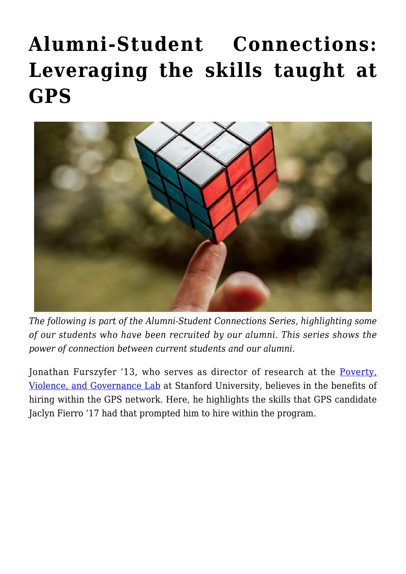## **[Alumni-Student Connections:](https://gpsnews.ucsd.edu/alumni-student-connections-leveraging-the-skills-taught-at-gps/) [Leveraging the skills taught at](https://gpsnews.ucsd.edu/alumni-student-connections-leveraging-the-skills-taught-at-gps/) [GPS](https://gpsnews.ucsd.edu/alumni-student-connections-leveraging-the-skills-taught-at-gps/)**



*The following is part of the Alumni-Student Connections Series, highlighting some of our students who have been recruited by our alumni. This series shows the power of connection between current students and our alumni.*

Jonathan Furszyfer '13, who serves as director of research at the [Poverty,](http://povgov.com/about) [Violence, and Governance Lab](http://povgov.com/about) at Stanford University, believes in the benefits of hiring within the GPS network. Here, he highlights the skills that GPS candidate Jaclyn Fierro '17 had that prompted him to hire within the program.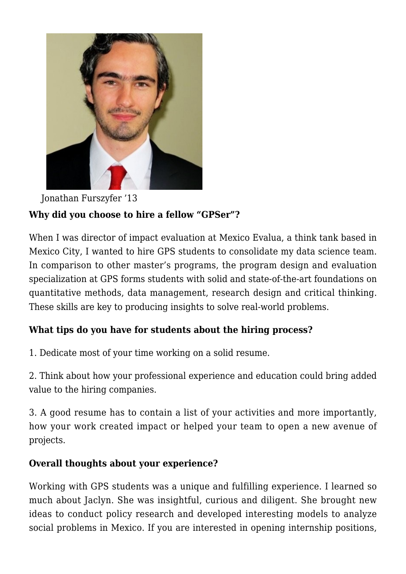

Jonathan Furszyfer '13 **Why did you choose to hire a fellow "GPSer"?** 

When I was director of impact evaluation at Mexico Evalua, a think tank based in Mexico City, I wanted to hire GPS students to consolidate my data science team. In comparison to other master's programs, the program design and evaluation specialization at GPS forms students with solid and state-of-the-art foundations on quantitative methods, data management, research design and critical thinking. These skills are key to producing insights to solve real-world problems.

## **What tips do you have for students about the hiring process?**

1. Dedicate most of your time working on a solid resume.

2. Think about how your professional experience and education could bring added value to the hiring companies.

3. A good resume has to contain a list of your activities and more importantly, how your work created impact or helped your team to open a new avenue of projects.

## **Overall thoughts about your experience?**

Working with GPS students was a unique and fulfilling experience. I learned so much about Jaclyn. She was insightful, curious and diligent. She brought new ideas to conduct policy research and developed interesting models to analyze social problems in Mexico. If you are interested in opening internship positions,